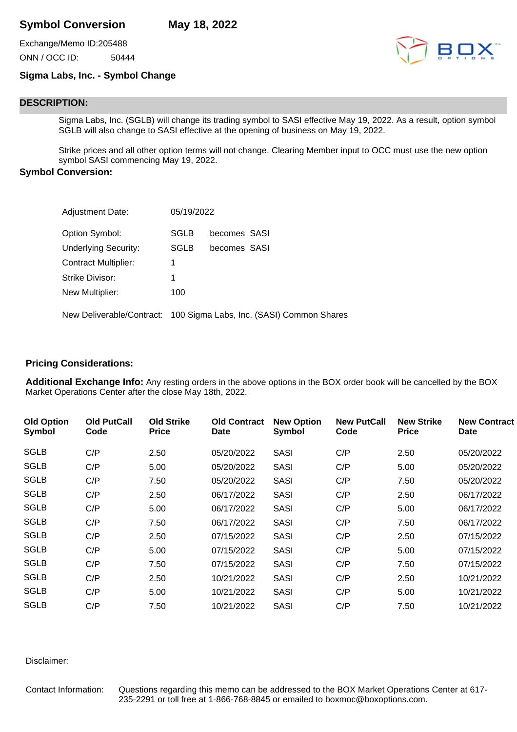# **Symbol Conversion May 18, 2022**

Exchange/Memo ID:205488 ONN / OCC ID: 50444

## **Sigma Labs, Inc. - Symbol Change**

## **DESCRIPTION:**

Sigma Labs, Inc. (SGLB) will change its trading symbol to SASI effective May 19, 2022. As a result, option symbol SGLB will also change to SASI effective at the opening of business on May 19, 2022.

Strike prices and all other option terms will not change. Clearing Member input to OCC must use the new option symbol SASI commencing May 19, 2022.

## **Symbol Conversion:**

| <b>Adjustment Date:</b>     | 05/19/2022  |                                                                     |
|-----------------------------|-------------|---------------------------------------------------------------------|
| Option Symbol:              | SGLB        | becomes SASI                                                        |
| <b>Underlying Security:</b> | <b>SGLB</b> | becomes SASI                                                        |
| <b>Contract Multiplier:</b> | 1           |                                                                     |
| Strike Divisor:             | 1           |                                                                     |
| New Multiplier:             | 100         |                                                                     |
|                             |             | New Deliverable/Contract: 100 Sigma Labs, Inc. (SASI) Common Shares |

#### **Pricing Considerations:**

**Additional Exchange Info:** Any resting orders in the above options in the BOX order book will be cancelled by the BOX Market Operations Center after the close May 18th, 2022.

| <b>Old Option</b><br>Symbol | <b>Old PutCall</b><br>Code | <b>Old Strike</b><br><b>Price</b> | <b>Old Contract</b><br><b>Date</b> | <b>New Option</b><br>Symbol | <b>New PutCall</b><br>Code | <b>New Strike</b><br><b>Price</b> | <b>New Contract</b><br>Date |
|-----------------------------|----------------------------|-----------------------------------|------------------------------------|-----------------------------|----------------------------|-----------------------------------|-----------------------------|
| <b>SGLB</b>                 | C/P                        | 2.50                              | 05/20/2022                         | <b>SASI</b>                 | C/P                        | 2.50                              | 05/20/2022                  |
| <b>SGLB</b>                 | C/P                        | 5.00                              | 05/20/2022                         | <b>SASI</b>                 | C/P                        | 5.00                              | 05/20/2022                  |
| <b>SGLB</b>                 | C/P                        | 7.50                              | 05/20/2022                         | <b>SASI</b>                 | C/P                        | 7.50                              | 05/20/2022                  |
| <b>SGLB</b>                 | C/P                        | 2.50                              | 06/17/2022                         | <b>SASI</b>                 | C/P                        | 2.50                              | 06/17/2022                  |
| <b>SGLB</b>                 | C/P                        | 5.00                              | 06/17/2022                         | <b>SASI</b>                 | C/P                        | 5.00                              | 06/17/2022                  |
| <b>SGLB</b>                 | C/P                        | 7.50                              | 06/17/2022                         | <b>SASI</b>                 | C/P                        | 7.50                              | 06/17/2022                  |
| <b>SGLB</b>                 | C/P                        | 2.50                              | 07/15/2022                         | <b>SASI</b>                 | C/P                        | 2.50                              | 07/15/2022                  |
| <b>SGLB</b>                 | C/P                        | 5.00                              | 07/15/2022                         | <b>SASI</b>                 | C/P                        | 5.00                              | 07/15/2022                  |
| <b>SGLB</b>                 | C/P                        | 7.50                              | 07/15/2022                         | <b>SASI</b>                 | C/P                        | 7.50                              | 07/15/2022                  |
| <b>SGLB</b>                 | C/P                        | 2.50                              | 10/21/2022                         | <b>SASI</b>                 | C/P                        | 2.50                              | 10/21/2022                  |
| <b>SGLB</b>                 | C/P                        | 5.00                              | 10/21/2022                         | <b>SASI</b>                 | C/P                        | 5.00                              | 10/21/2022                  |
| <b>SGLB</b>                 | C/P                        | 7.50                              | 10/21/2022                         | <b>SASI</b>                 | C/P                        | 7.50                              | 10/21/2022                  |

Disclaimer:

Contact Information: Questions regarding this memo can be addressed to the BOX Market Operations Center at 617- 235-2291 or toll free at 1-866-768-8845 or emailed to boxmoc@boxoptions.com.